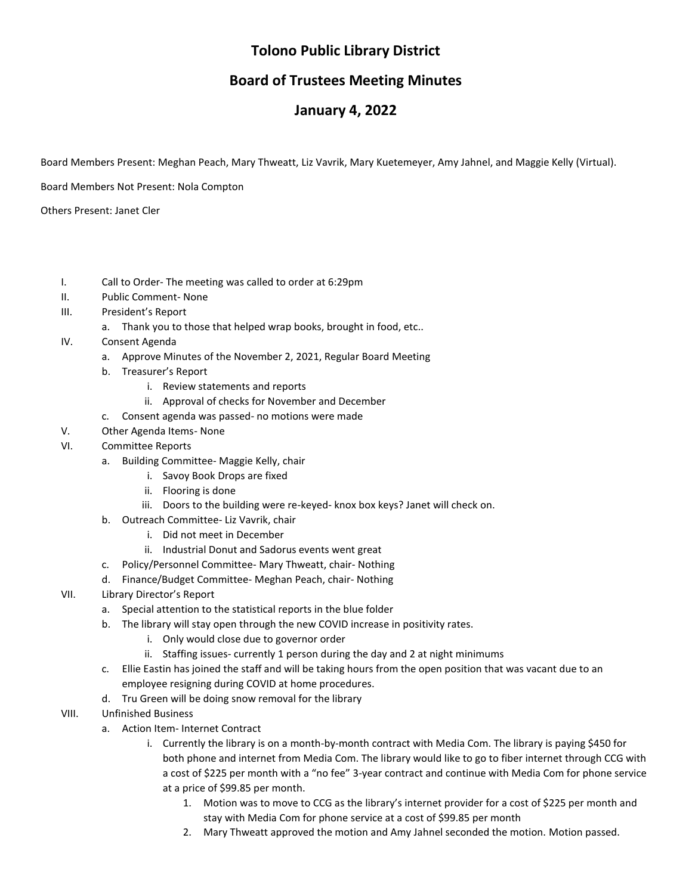# **Tolono Public Library District**

## **Board of Trustees Meeting Minutes**

## **January 4, 2022**

Board Members Present: Meghan Peach, Mary Thweatt, Liz Vavrik, Mary Kuetemeyer, Amy Jahnel, and Maggie Kelly (Virtual).

Board Members Not Present: Nola Compton

Others Present: Janet Cler

- I. Call to Order- The meeting was called to order at 6:29pm
- II. Public Comment- None
- III. President's Report
	- a. Thank you to those that helped wrap books, brought in food, etc..
- IV. Consent Agenda
	- a. Approve Minutes of the November 2, 2021, Regular Board Meeting
	- b. Treasurer's Report
		- i. Review statements and reports
		- ii. Approval of checks for November and December
	- c. Consent agenda was passed- no motions were made
- V. Other Agenda Items- None
- VI. Committee Reports
	- a. Building Committee- Maggie Kelly, chair
		- i. Savoy Book Drops are fixed
		- ii. Flooring is done
		- iii. Doors to the building were re-keyed- knox box keys? Janet will check on.
	- b. Outreach Committee- Liz Vavrik, chair
		- i. Did not meet in December
		- ii. Industrial Donut and Sadorus events went great
	- c. Policy/Personnel Committee- Mary Thweatt, chair- Nothing
	- d. Finance/Budget Committee- Meghan Peach, chair- Nothing
- VII. Library Director's Report
	- a. Special attention to the statistical reports in the blue folder
	- b. The library will stay open through the new COVID increase in positivity rates.
		- i. Only would close due to governor order
		- ii. Staffing issues- currently 1 person during the day and 2 at night minimums
	- c. Ellie Eastin has joined the staff and will be taking hours from the open position that was vacant due to an employee resigning during COVID at home procedures.
	- d. Tru Green will be doing snow removal for the library
- VIII. Unfinished Business
	- a. Action Item- Internet Contract
		- i. Currently the library is on a month-by-month contract with Media Com. The library is paying \$450 for both phone and internet from Media Com. The library would like to go to fiber internet through CCG with a cost of \$225 per month with a "no fee" 3-year contract and continue with Media Com for phone service at a price of \$99.85 per month.
			- 1. Motion was to move to CCG as the library's internet provider for a cost of \$225 per month and stay with Media Com for phone service at a cost of \$99.85 per month
			- 2. Mary Thweatt approved the motion and Amy Jahnel seconded the motion. Motion passed.